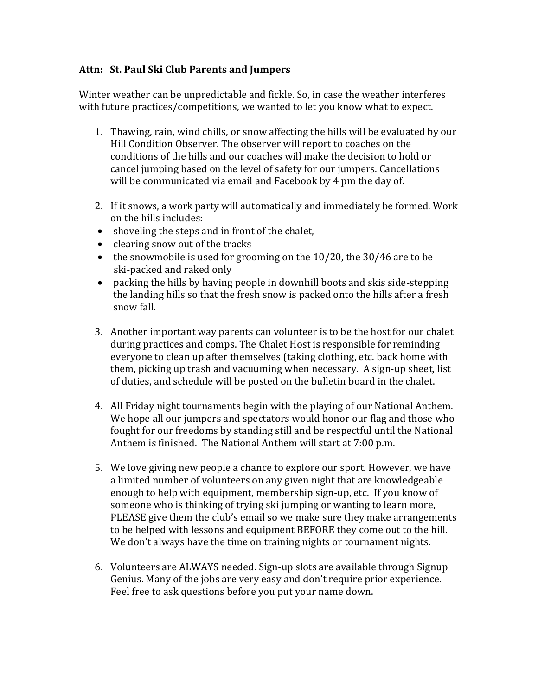## **Attn: St. Paul Ski Club Parents and Jumpers**

Winter weather can be unpredictable and fickle. So, in case the weather interferes with future practices/competitions, we wanted to let you know what to expect.

- 1. Thawing, rain, wind chills, or snow affecting the hills will be evaluated by our Hill Condition Observer. The observer will report to coaches on the conditions of the hills and our coaches will make the decision to hold or cancel jumping based on the level of safety for our jumpers. Cancellations will be communicated via email and Facebook by 4 pm the day of.
- 2. If it snows, a work party will automatically and immediately be formed. Work on the hills includes:
- shoveling the steps and in front of the chalet,
- clearing snow out of the tracks
- the snowmobile is used for grooming on the 10/20, the 30/46 are to be ski-packed and raked only
- packing the hills by having people in downhill boots and skis side-stepping the landing hills so that the fresh snow is packed onto the hills after a fresh snow fall.
- 3. Another important way parents can volunteer is to be the host for our chalet during practices and comps. The Chalet Host is responsible for reminding everyone to clean up after themselves (taking clothing, etc. back home with them, picking up trash and vacuuming when necessary. A sign-up sheet, list of duties, and schedule will be posted on the bulletin board in the chalet.
- 4. All Friday night tournaments begin with the playing of our National Anthem. We hope all our jumpers and spectators would honor our flag and those who fought for our freedoms by standing still and be respectful until the National Anthem is finished. The National Anthem will start at 7:00 p.m.
- 5. We love giving new people a chance to explore our sport. However, we have a limited number of volunteers on any given night that are knowledgeable enough to help with equipment, membership sign-up, etc. If you know of someone who is thinking of trying ski jumping or wanting to learn more, PLEASE give them the club's email so we make sure they make arrangements to be helped with lessons and equipment BEFORE they come out to the hill. We don't always have the time on training nights or tournament nights.
- 6. Volunteers are ALWAYS needed. Sign-up slots are available through Signup Genius. Many of the jobs are very easy and don't require prior experience. Feel free to ask questions before you put your name down.